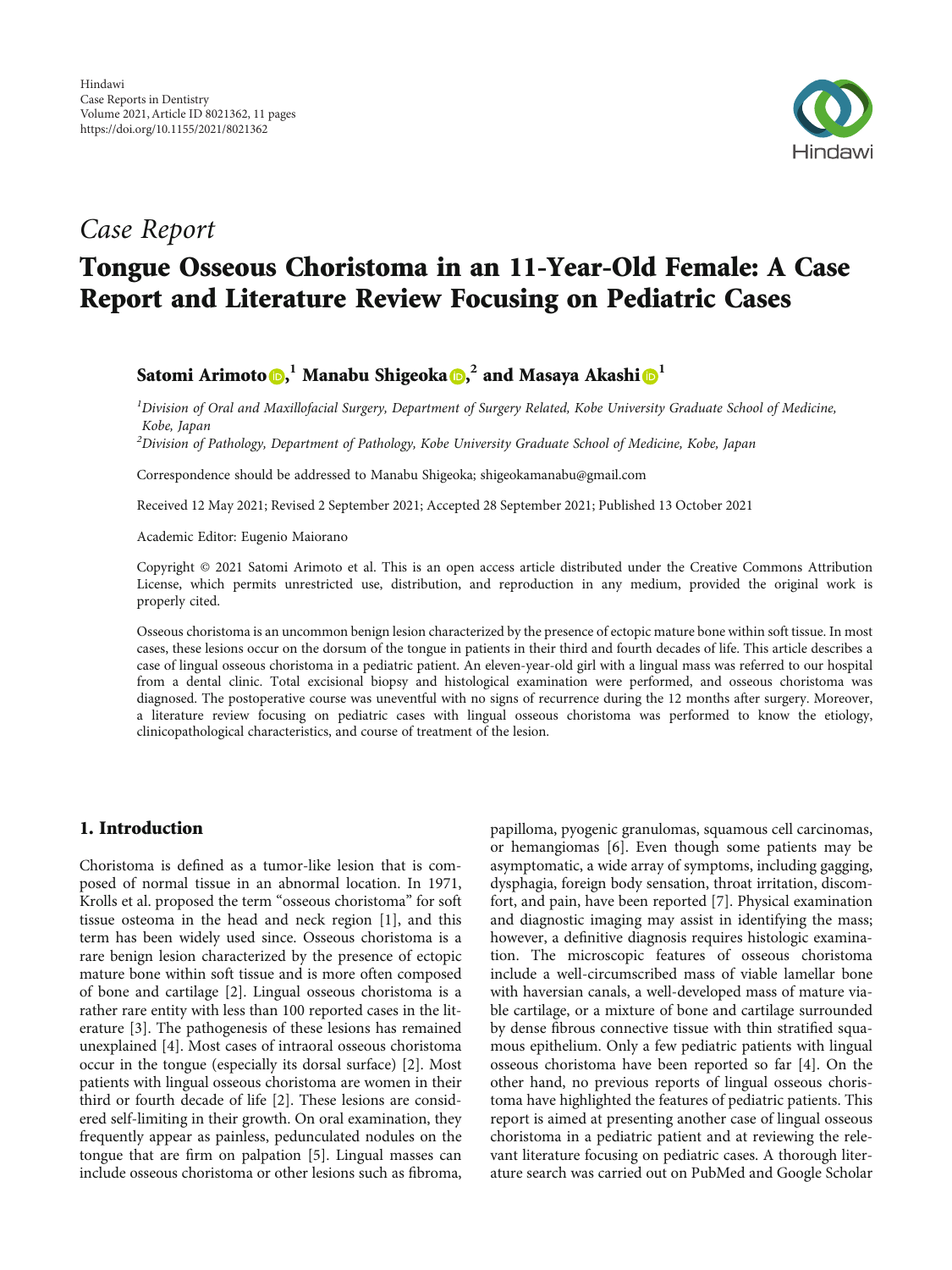

# Case Report

# Tongue Osseous Choristoma in an 11-Year-Old Female: A Case Report and Literature Review Focusing on Pediatric Cases

## $\text{Satomi}\ \text{Arimoto}\ \text{\textcircled{\textsf{b}}\textsc{,}}^1\ \text{Manabu}\ \text{Shigeoka}\ \text{\textcircled{\textsf{b}}\textsc{,}}^2\ \text{and}\ \text{Masaya}\ \text{Akashi}\ \text{\textcircled{\textsf{b}}\textsc{,}}^1$  $\text{Satomi}\ \text{Arimoto}\ \text{\textcircled{\textsf{b}}\textsc{,}}^1\ \text{Manabu}\ \text{Shigeoka}\ \text{\textcircled{\textsf{b}}\textsc{,}}^2\ \text{and}\ \text{Masaya}\ \text{Akashi}\ \text{\textcircled{\textsf{b}}\textsc{,}}^1$  $\text{Satomi}\ \text{Arimoto}\ \text{\textcircled{\textsf{b}}\textsc{,}}^1\ \text{Manabu}\ \text{Shigeoka}\ \text{\textcircled{\textsf{b}}\textsc{,}}^2\ \text{and}\ \text{Masaya}\ \text{Akashi}\ \text{\textcircled{\textsf{b}}\textsc{,}}^1$  $\text{Satomi}\ \text{Arimoto}\ \text{\textcircled{\textsf{b}}\textsc{,}}^1\ \text{Manabu}\ \text{Shigeoka}\ \text{\textcircled{\textsf{b}}\textsc{,}}^2\ \text{and}\ \text{Masaya}\ \text{Akashi}\ \text{\textcircled{\textsf{b}}\textsc{,}}^1$  $\text{Satomi}\ \text{Arimoto}\ \text{\textcircled{\textsf{b}}\textsc{,}}^1\ \text{Manabu}\ \text{Shigeoka}\ \text{\textcircled{\textsf{b}}\textsc{,}}^2\ \text{and}\ \text{Masaya}\ \text{Akashi}\ \text{\textcircled{\textsf{b}}\textsc{,}}^1$

 $^1$ Division of Oral and Maxillofacial Surgery, Department of Surgery Related, Kobe University Graduate School of Medicine, Kobe, Japan

 $^{2}$ Division of Pathology, Department of Pathology, Kobe University Graduate School of Medicine, Kobe, Japan

Correspondence should be addressed to Manabu Shigeoka; shigeokamanabu@gmail.com

Received 12 May 2021; Revised 2 September 2021; Accepted 28 September 2021; Published 13 October 2021

Academic Editor: Eugenio Maiorano

Copyright © 2021 Satomi Arimoto et al. This is an open access article distributed under the [Creative Commons Attribution](https://creativecommons.org/licenses/by/4.0/) [License,](https://creativecommons.org/licenses/by/4.0/) which permits unrestricted use, distribution, and reproduction in any medium, provided the original work is properly cited.

Osseous choristoma is an uncommon benign lesion characterized by the presence of ectopic mature bone within soft tissue. In most cases, these lesions occur on the dorsum of the tongue in patients in their third and fourth decades of life. This article describes a case of lingual osseous choristoma in a pediatric patient. An eleven-year-old girl with a lingual mass was referred to our hospital from a dental clinic. Total excisional biopsy and histological examination were performed, and osseous choristoma was diagnosed. The postoperative course was uneventful with no signs of recurrence during the 12 months after surgery. Moreover, a literature review focusing on pediatric cases with lingual osseous choristoma was performed to know the etiology, clinicopathological characteristics, and course of treatment of the lesion.

## 1. Introduction

Choristoma is defined as a tumor-like lesion that is composed of normal tissue in an abnormal location. In 1971, Krolls et al. proposed the term "osseous choristoma" for soft tissue osteoma in the head and neck region [\[1](#page-8-0)], and this term has been widely used since. Osseous choristoma is a rare benign lesion characterized by the presence of ectopic mature bone within soft tissue and is more often composed of bone and cartilage [\[2\]](#page-8-0). Lingual osseous choristoma is a rather rare entity with less than 100 reported cases in the literature [[3\]](#page-9-0). The pathogenesis of these lesions has remained unexplained [\[4](#page-9-0)]. Most cases of intraoral osseous choristoma occur in the tongue (especially its dorsal surface) [[2\]](#page-8-0). Most patients with lingual osseous choristoma are women in their third or fourth decade of life [[2\]](#page-8-0). These lesions are considered self-limiting in their growth. On oral examination, they frequently appear as painless, pedunculated nodules on the tongue that are firm on palpation [\[5](#page-9-0)]. Lingual masses can include osseous choristoma or other lesions such as fibroma,

papilloma, pyogenic granulomas, squamous cell carcinomas, or hemangiomas [[6\]](#page-9-0). Even though some patients may be asymptomatic, a wide array of symptoms, including gagging, dysphagia, foreign body sensation, throat irritation, discomfort, and pain, have been reported [[7](#page-9-0)]. Physical examination and diagnostic imaging may assist in identifying the mass; however, a definitive diagnosis requires histologic examination. The microscopic features of osseous choristoma include a well-circumscribed mass of viable lamellar bone with haversian canals, a well-developed mass of mature viable cartilage, or a mixture of bone and cartilage surrounded by dense fibrous connective tissue with thin stratified squamous epithelium. Only a few pediatric patients with lingual osseous choristoma have been reported so far [\[4](#page-9-0)]. On the other hand, no previous reports of lingual osseous choristoma have highlighted the features of pediatric patients. This report is aimed at presenting another case of lingual osseous choristoma in a pediatric patient and at reviewing the relevant literature focusing on pediatric cases. A thorough literature search was carried out on PubMed and Google Scholar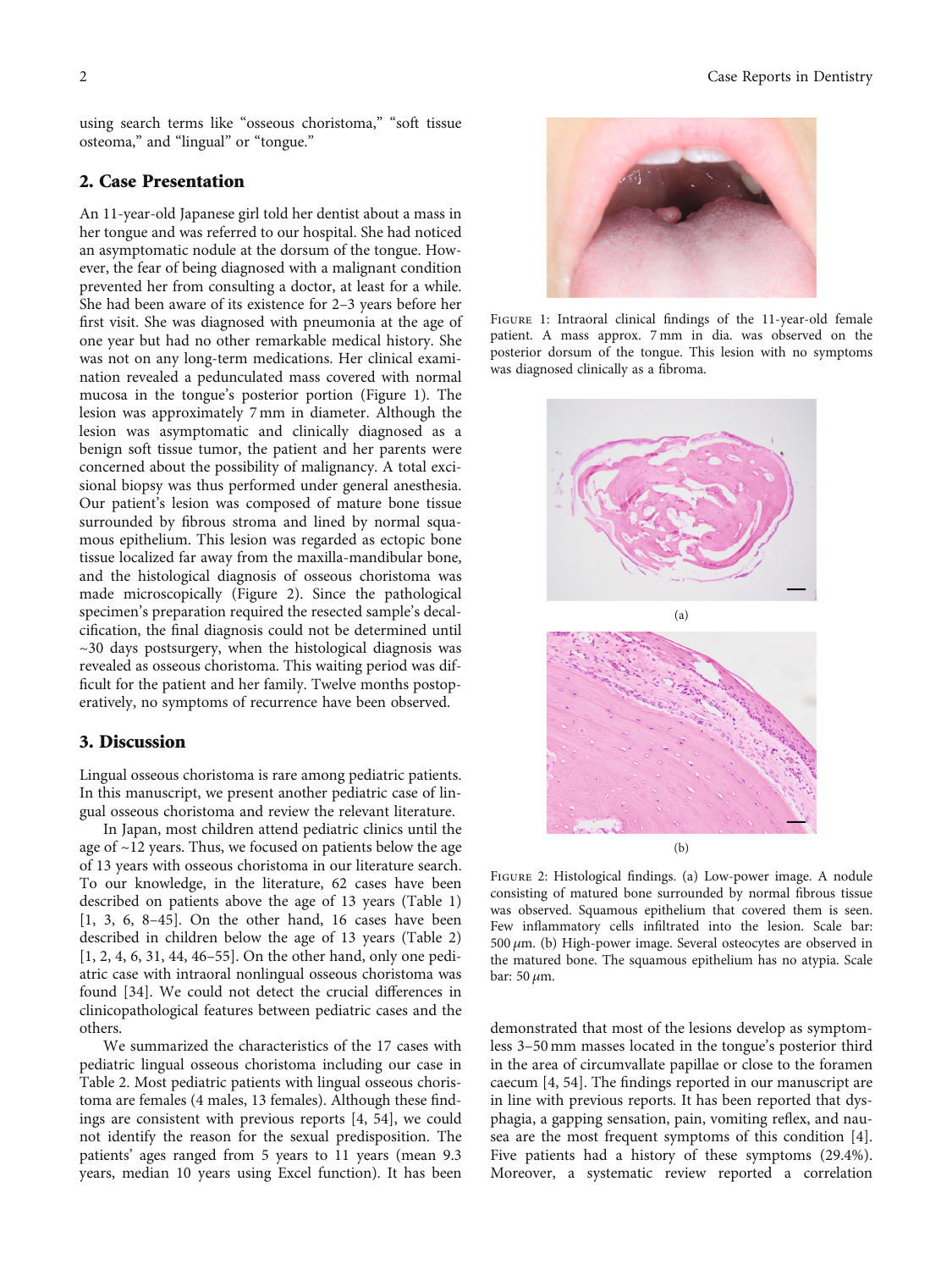using search terms like "osseous choristoma," "soft tissue osteoma," and "lingual" or "tongue."

## 2. Case Presentation

An 11-year-old Japanese girl told her dentist about a mass in her tongue and was referred to our hospital. She had noticed an asymptomatic nodule at the dorsum of the tongue. However, the fear of being diagnosed with a malignant condition prevented her from consulting a doctor, at least for a while. She had been aware of its existence for 2–3 years before her first visit. She was diagnosed with pneumonia at the age of one year but had no other remarkable medical history. She was not on any long-term medications. Her clinical examination revealed a pedunculated mass covered with normal mucosa in the tongue's posterior portion (Figure 1). The lesion was approximately 7 mm in diameter. Although the lesion was asymptomatic and clinically diagnosed as a benign soft tissue tumor, the patient and her parents were concerned about the possibility of malignancy. A total excisional biopsy was thus performed under general anesthesia. Our patient's lesion was composed of mature bone tissue surrounded by fibrous stroma and lined by normal squamous epithelium. This lesion was regarded as ectopic bone tissue localized far away from the maxilla-mandibular bone, and the histological diagnosis of osseous choristoma was made microscopically (Figure 2). Since the pathological specimen's preparation required the resected sample's decalcification, the final diagnosis could not be determined until ~30 days postsurgery, when the histological diagnosis was revealed as osseous choristoma. This waiting period was difficult for the patient and her family. Twelve months postoperatively, no symptoms of recurrence have been observed.

## 3. Discussion

Lingual osseous choristoma is rare among pediatric patients. In this manuscript, we present another pediatric case of lingual osseous choristoma and review the relevant literature.

In Japan, most children attend pediatric clinics until the age of ~12 years. Thus, we focused on patients below the age of 13 years with osseous choristoma in our literature search. To our knowledge, in the literature, 62 cases have been described on patients above the age of 13 years (Table [1\)](#page-2-0) [\[1](#page-8-0), [3](#page-9-0), [6](#page-9-0), [8](#page-9-0)–[45](#page-10-0)]. On the other hand, 16 cases have been described in children below the age of 13 years (Table [2\)](#page-6-0) [\[1](#page-8-0), [2,](#page-8-0) [4](#page-9-0), [6](#page-9-0), [31,](#page-9-0) [44, 46](#page-10-0)–[55](#page-10-0)]. On the other hand, only one pediatric case with intraoral nonlingual osseous choristoma was found [\[34\]](#page-9-0). We could not detect the crucial differences in clinicopathological features between pediatric cases and the others.

We summarized the characteristics of the 17 cases with pediatric lingual osseous choristoma including our case in Table [2.](#page-6-0) Most pediatric patients with lingual osseous choristoma are females (4 males, 13 females). Although these findings are consistent with previous reports [[4](#page-9-0), [54\]](#page-10-0), we could not identify the reason for the sexual predisposition. The patients' ages ranged from 5 years to 11 years (mean 9.3 years, median 10 years using Excel function). It has been



FIGURE 1: Intraoral clinical findings of the 11-year-old female patient. A mass approx. 7 mm in dia. was observed on the posterior dorsum of the tongue. This lesion with no symptoms was diagnosed clinically as a fibroma.



Figure 2: Histological findings. (a) Low-power image. A nodule consisting of matured bone surrounded by normal fibrous tissue was observed. Squamous epithelium that covered them is seen. Few inflammatory cells infiltrated into the lesion. Scale bar: 500 *μ*m. (b) High-power image. Several osteocytes are observed in the matured bone. The squamous epithelium has no atypia. Scale bar: 50 *μ*m.

demonstrated that most of the lesions develop as symptomless 3–50 mm masses located in the tongue's posterior third in the area of circumvallate papillae or close to the foramen caecum [\[4](#page-9-0), [54](#page-10-0)]. The findings reported in our manuscript are in line with previous reports. It has been reported that dysphagia, a gapping sensation, pain, vomiting reflex, and nausea are the most frequent symptoms of this condition [[4](#page-9-0)]. Five patients had a history of these symptoms (29.4%). Moreover, a systematic review reported a correlation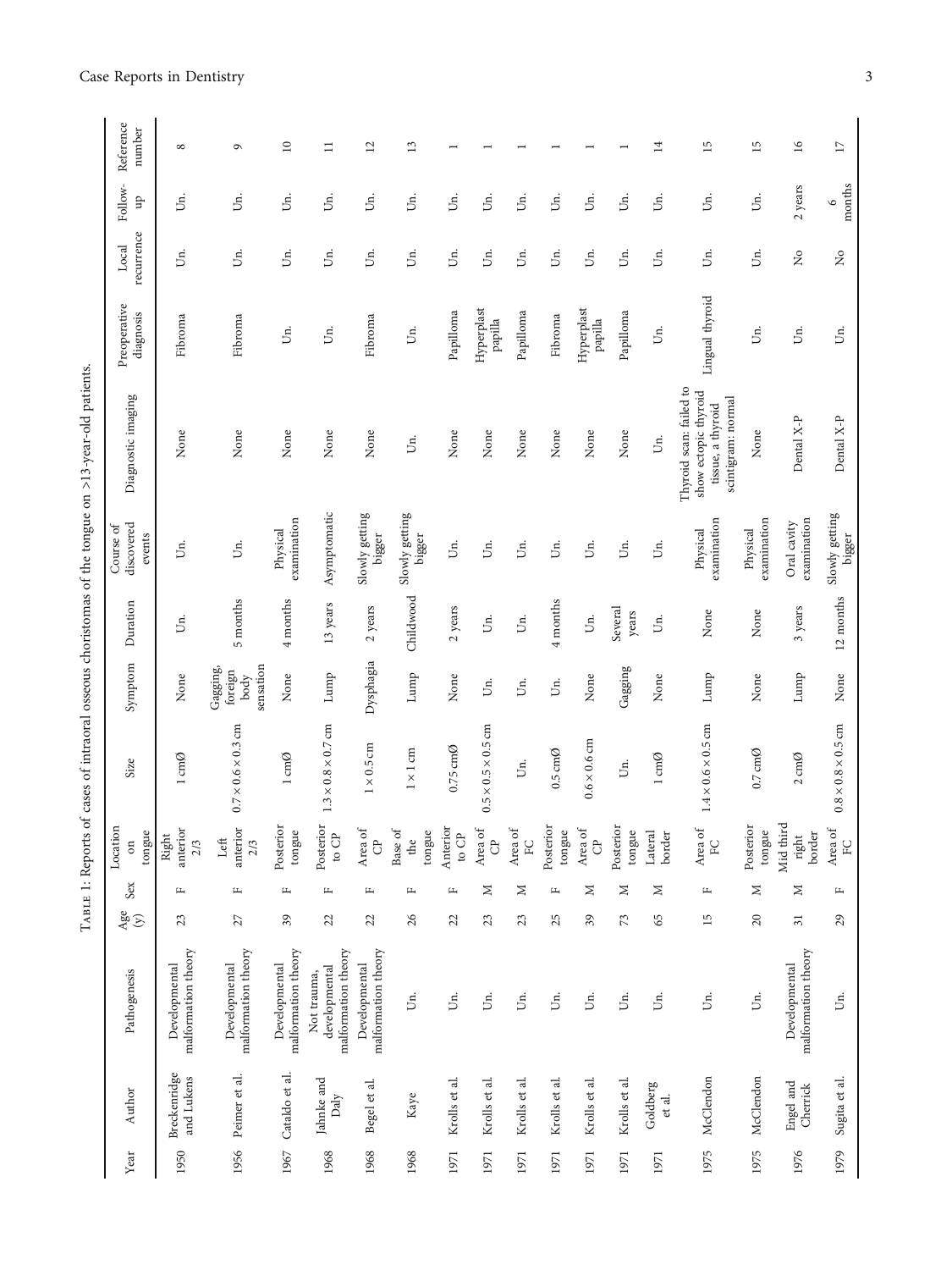TABLE 1: Reports of cases of intraoral osseous choristomas of the tongue on >13-year-old patients. Table 1: Reports of cases of intraoral osseous choristomas of the tongue on >13-year-old patients.

| Year | Author                           | Pathogenesis                                        | $\frac{4}{5}$   | Sex          | Location<br>tongue<br>$\sin$ | Size                           | Symptom                                                   | Duration         | discovered<br>Course of<br>events | Diagnostic imaging                                                                         | Preoperative<br>diagnosis      | recurrence<br>Local                      | Follow-<br>qn     | Reference<br>number |
|------|----------------------------------|-----------------------------------------------------|-----------------|--------------|------------------------------|--------------------------------|-----------------------------------------------------------|------------------|-----------------------------------|--------------------------------------------------------------------------------------------|--------------------------------|------------------------------------------|-------------------|---------------------|
| 1950 | Breckenridge<br>and Lukens       | malformation theory<br>Developmental                | 23              | щ            | anterior<br>Right<br>2/3     | $1 \text{ cm}\emptyset$        | None                                                      | jя.              | Ś.                                | None                                                                                       | Fibroma                        | jп.                                      | Un.               | $^{\circ}$          |
|      | 1956 Peimer et al.               | malformation theory<br>Developmental                | 27              | щ            | anterior<br>Left<br>2/3      | $0.7 \times 0.6 \times 0.3$ cm | sensation<br>Gagging,<br>$\operatorname{foreign}$<br>body | 5 months         | $\dot{\mathbb{5}}$                | None                                                                                       | Fibroma                        | jп.                                      | Ś.                | G                   |
| 1967 | Cataldo et al.                   | malformation theory<br>Developmental                | 39              | щ            | Posterior<br>tongue          | $1 \text{cm} \varnothing$      | None                                                      | 4 months         | examination<br>Physical           | None                                                                                       | Ś.                             | IJп.                                     | Un.               | $\supseteq$         |
| 1968 | Jahnke and<br>$_{\mathrm{Daly}}$ | malformation theory<br>developmental<br>Not trauma, | 22              | $\mathbf{L}$ | Posterior<br>to ${\rm CP}$   | $1.3 \times 0.8 \times 0.7$ cm | Lump                                                      | 13 years         | Asymptomatic                      | None                                                                                       | Jг.                            | Un.                                      | Un.               | $\Xi$               |
| 1968 | Begel et al.                     | malformation theory<br>Developmental                | 22              | $\mathbf{L}$ | Area of<br>ට්                | $1 \times 0.5 \, \mathrm{cm}$  | Dysphagia                                                 | 2 years          | Slowly getting<br>bigger          | None                                                                                       | Fibroma                        | Un.                                      | jя.               | $\overline{12}$     |
| 1968 | Kaye                             | Uп.                                                 | 26              | $\mathbf{L}$ | Base of<br>tongue<br>the     | $1 \times 1$ cm                | Lump                                                      | Childwood        | Slowly getting<br>bigger          | Jг.                                                                                        | Ś.                             | Un.                                      | Jn.               | 13                  |
| 1971 | Krolls et al.                    | jя.                                                 | 22              | $\mathbf{L}$ | Anterior<br>to ${\rm CP}$    | $0.75 \text{ cm}$ Ø            | None                                                      | 2 years          | jя.                               | None                                                                                       | Papilloma                      | Un.                                      | jя.               |                     |
| 1971 | Krolls et al.                    | jя.                                                 | 23              | Σ            | Area of<br>ට්                | $0.5 \times 0.5 \times 0.5$ cm | Ūп.                                                       | Un.              | Un.                               | None                                                                                       | Hyperplast<br>papilla          | Uп.                                      | Un.               |                     |
| 1971 | Krolls et al.                    | Uп.                                                 | 23              | $\geq$       | Area of<br>E                 | Un.                            | Úп.                                                       | Un.              | Un.                               | None                                                                                       | ${\bf Papilloma}$              | Un.                                      | Un.               |                     |
| 1971 | Krolls et al.                    | Un.                                                 | 25              | $\mathbf{L}$ | Posterior<br>tongue          | $0.5 \text{ cm}$ Ø             | Úл.                                                       | 4 months         | Un.                               | None                                                                                       | Fibroma                        | Un.                                      | Un.               |                     |
| 1971 | Krolls et al.                    | Un.                                                 | 39              | $\geq$       | Area of<br>ී                 | $0.6 \times 0.6 \text{ cm}$    | None                                                      | Un.              | Un.                               | None                                                                                       | Hyperplast<br>$_{\rm papilla}$ | IJn.                                     | jя.               |                     |
| 1971 | Krolls et al.                    | Un.                                                 | 73              | $\geq$       | Posterior<br>tongue          | Б.                             | Gagging                                                   | Several<br>years | Un.                               | None                                                                                       | Papilloma                      | Un.                                      | Un.               |                     |
| 1971 | Goldberg<br>et al.               | jя.                                                 | 65              | $\geq$       | Lateral<br>border            | $1 \text{ cm}\emptyset$        | None                                                      | jя.              | jя.                               | Uп.                                                                                        | jя.                            | IJп.                                     | jя.               | $\overline{1}$      |
| 1975 | McClendon                        | Uп.                                                 | 15              | $\mathbf{L}$ | Area of<br>EC                | $1.4 \times 0.6 \times 0.5$ cm | Lump                                                      | None             | examination<br>Physical           | Thyroid scan: failed to<br>show ectopic thyroid<br>scintigram: normal<br>tissue, a thyroid | Lingual thyroid                | IJп.                                     | Jn.               | $\overline{15}$     |
| 1975 | McClendon                        | Ūп.                                                 | $20\,$          | $\geq$       | Posterior<br>tongue          | $0.7 \text{ cm}$ Ø             | None                                                      | None             | examination<br>Physical           | None                                                                                       | Ś.                             | IJц.                                     | jя.               | 15                  |
| 1976 | Engel and<br>Cherrick            | malformation theory<br>Developmental                | $\overline{31}$ | $\geq$       | Mid third<br>border<br>right | $2 \text{cm} \emptyset$        | Lump                                                      | 3 years          | examination<br>Oral cavity        | Dental X-P                                                                                 | jг.                            | $\rm \stackrel{\circ}{\scriptstyle\sim}$ | 2 years           | $\geq$              |
| 1979 | Sugita et al.                    | Ś.                                                  | 29              | щ            | Area of<br>${\rm FC}$        | $0.8 \times 0.8 \times 0.5$ cm | None                                                      | 12 months        | Slowly getting<br>bigger          | Dental X-P                                                                                 | Ś.                             | $\tilde{z}$                              | months<br>$\circ$ | $\Box$              |
|      |                                  |                                                     |                 |              |                              |                                |                                                           |                  |                                   |                                                                                            |                                |                                          |                   |                     |

## <span id="page-2-0"></span>Case Reports in Dentistry 3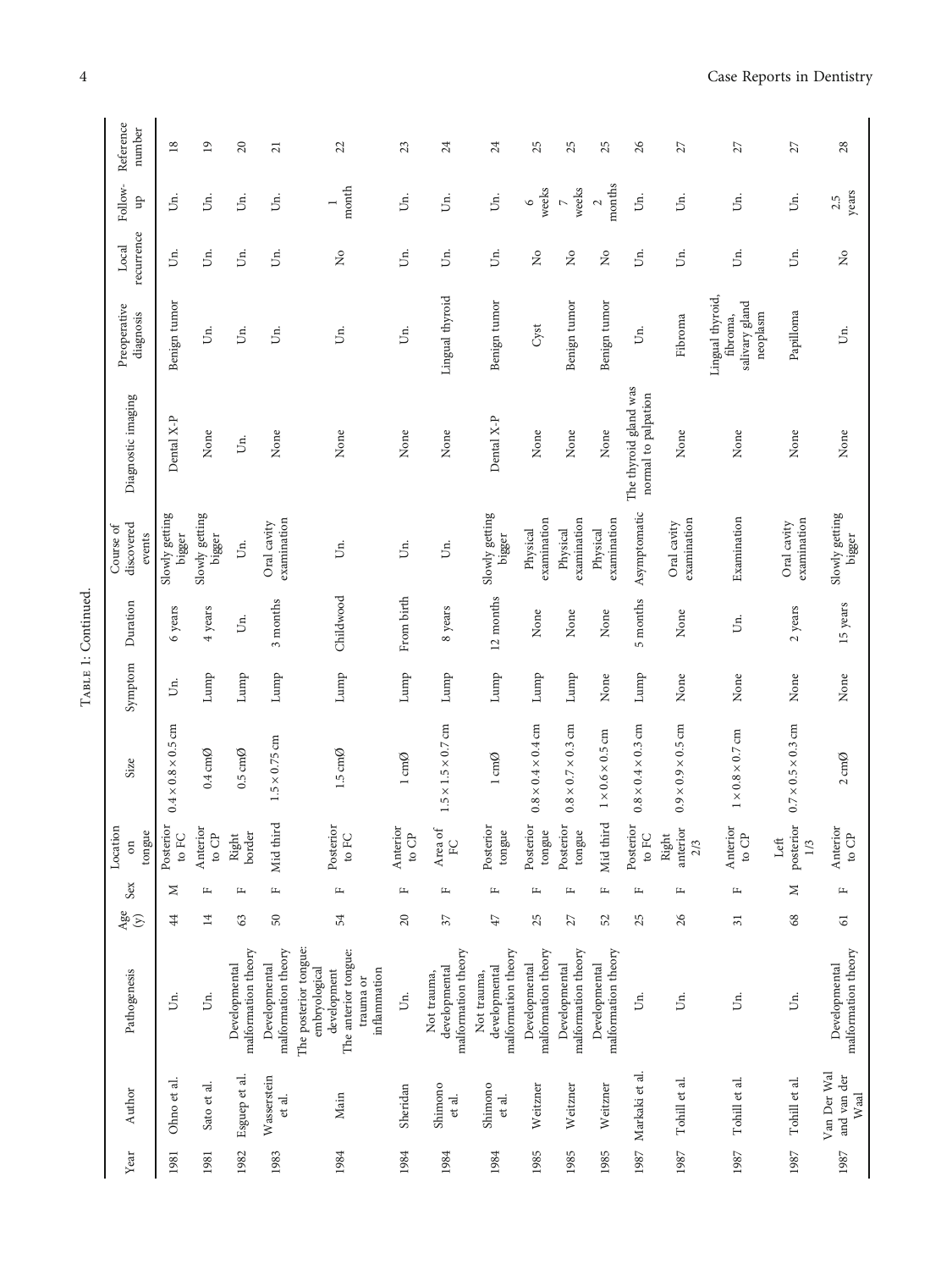| E |  |
|---|--|

| Reference<br>number               | $18$                           | $\overline{19}$           | 20                                   | $\overline{21}$                      | 22                                                                                                         | 23                           | 24                                                  | 24                                                  | 25                                   | 25                                   | 25                                   | 26                                           | 27                         | $\overline{27}$                                            | 27                             | 28                                       |
|-----------------------------------|--------------------------------|---------------------------|--------------------------------------|--------------------------------------|------------------------------------------------------------------------------------------------------------|------------------------------|-----------------------------------------------------|-----------------------------------------------------|--------------------------------------|--------------------------------------|--------------------------------------|----------------------------------------------|----------------------------|------------------------------------------------------------|--------------------------------|------------------------------------------|
| Follow-<br>$\overline{a}$         | Un.                            | Un.                       | Un.                                  | Un.                                  | month<br>$\overline{ }$                                                                                    | Un.                          | Б.                                                  | Un.                                                 | weeks<br>$\circ$                     | weeks<br>$\triangleright$            | months<br>$\sim$                     | IJп.                                         | jя.                        | jя.                                                        | Un.                            | years<br>2.5                             |
| recurrence<br>Local               | Un.                            | Un.                       | Un.                                  | jг.                                  | $\tilde{z}$                                                                                                | IJц.                         | IJц.                                                | Un.                                                 | $\tilde{z}$                          | $\frac{1}{2}$                        | $\tilde{z}$                          | Un.                                          | Jп.                        | Uц.                                                        | Un.                            | $\rm \stackrel{\circ}{\scriptstyle\sim}$ |
| Preoperative<br>diagnosis         | Benign tumor                   | Un.                       | Un.                                  | Ś.                                   | $\ddot{5}$                                                                                                 | jя.                          | Lingual thyroid                                     | Benign tumor                                        | Cyst                                 | Benign tumor                         | Benign tumor                         | jя.                                          | Fibroma                    | Lingual thyroid,<br>salivary gland<br>neoplasm<br>fibroma, | Papilloma                      | jя.                                      |
| Diagnostic imaging                | Dental X-P                     | None                      | Un.                                  | None                                 | None                                                                                                       | None                         | None                                                | Dental X-P                                          | None                                 | None                                 | None                                 | The thyroid gland was<br>normal to palpation | None                       | None                                                       | None                           | None                                     |
| discovered<br>Course of<br>events | Slowly getting<br>bigger       | Slowly getting<br>bigger  | $\mathbb{S}$                         | examination<br>Oral cavity           | Ś.                                                                                                         | Un.                          | Un.                                                 | Slowly getting<br>bigger                            | examination<br>Physical              | examination<br>Physical              | examination<br>Physical              | Asymptomatic                                 | examination<br>Oral cavity | Examination                                                | examination<br>Oral cavity     | Slowly getting<br>bigger                 |
| Duration                          | 6 years                        | 4 years                   | Un.                                  | 3 months                             | Childwood                                                                                                  | From birth                   | 8 years                                             | 12 months                                           | None                                 | $\rm None$                           | $\rm None$                           | 5 months                                     | None                       | Un.                                                        | 2 years                        | 15 years                                 |
| Symptom                           | Un.                            | Lump                      | Lump                                 | Lump                                 | Lump                                                                                                       | Lump                         | Lump                                                | Lump                                                | Lump                                 | Lump                                 | $\rm None$                           | Lump                                         | None                       | None                                                       | None                           | None                                     |
| Size                              | $0.4 \times 0.8 \times 0.5$ cm | $0.4 \text{ cm}$ Ø        | $0.5 \text{ cm}$ Ø                   | $1.5 \times 0.75$ cm                 | $1.5 \text{ cm} \emptyset$                                                                                 | $1 \text{ cm}\emptyset$      | $1.5 \times 1.5 \times 0.7$ cm                      | $1 \text{ cm}\emptyset$                             | $0.8 \times 0.4 \times 0.4$ cm       | $0.8 \times 0.7 \times 0.3$ cm       | $1 \times 0.6 \times 0.5$ cm         | $0.8 \times 0.4 \times 0.3$ cm               | $0.9\times0.9\times0.5$ cm | $1\times0.8\times0.7$ cm                                   | $0.7 \times 0.5 \times 0.3$ cm | $2 \text{cm}\emptyset$                   |
| Location<br>tongue<br>$\sin$      | Posterior<br>to FC $\,$        | Anterior<br>to ${\rm CP}$ | Right<br>border                      | Mid third                            | Posterior<br>to FC                                                                                         | Anterior<br>to $\mathbb{CP}$ | Area of<br>EC                                       | Posterior<br>tongue                                 | Posterior<br>tongue                  | Posterior<br>tongue                  | Mid third                            | Posterior<br>to ${\rm FC}$                   | Right<br>anterior<br>2/3   | Anterior<br>to ${\rm CP}$                                  | posterior<br>Left<br>1/3       | Anterior<br>to ${\rm CP}$                |
| Sex                               | z                              | щ                         | щ                                    | щ                                    | щ                                                                                                          | щ                            | щ                                                   | щ                                                   | щ                                    | щ                                    | щ                                    | щ                                            | щ                          | щ                                                          | $\geq$                         | щ                                        |
| $\frac{4}{9}$                     | 44                             | $\overline{14}$           | 63                                   | 50                                   | 54                                                                                                         | 20                           | 57                                                  | $47\,$                                              | 25                                   | 27                                   | 52                                   | 25                                           | 26                         | $\overline{31}$                                            | 68                             | $\overline{6}$                           |
| Pathogenesis                      | Un.                            | Un.                       | malformation theory<br>Developmental | malformation theory<br>Developmental | The posterior tongue:<br>The anterior tongue:<br>embryological<br>inflammation<br>development<br>trauma or | jг.                          | malformation theory<br>developmental<br>Not trauma, | malformation theory<br>developmental<br>Not trauma, | malformation theory<br>Developmental | malformation theory<br>Developmental | malformation theory<br>Developmental | jя.                                          | Б.                         | Б.                                                         | jя.                            | malformation theory<br>Developmental     |
| Author                            | Ohno et al.                    | Sato et al.               | Esguep et al.                        | Wasserstein<br>et al.                | Main                                                                                                       | Sheridan                     | Shimono<br>et al.                                   | Shimono<br>et al.                                   | Weitzner                             | Weitzner                             | Weitzner                             | Markaki et al                                | Tohill et al.              | Tohill et al.                                              | Tohill et al.                  | Van Der Wal<br>and van der<br>Waal       |
| Year                              | 1981                           | 1981                      | 1982                                 | 1983                                 | 1984                                                                                                       | 1984                         | 1984                                                | 1984                                                | 1985                                 | 1985                                 | 1985                                 | 1987                                         | 1987                       | 1987                                                       | 1987                           | 1987                                     |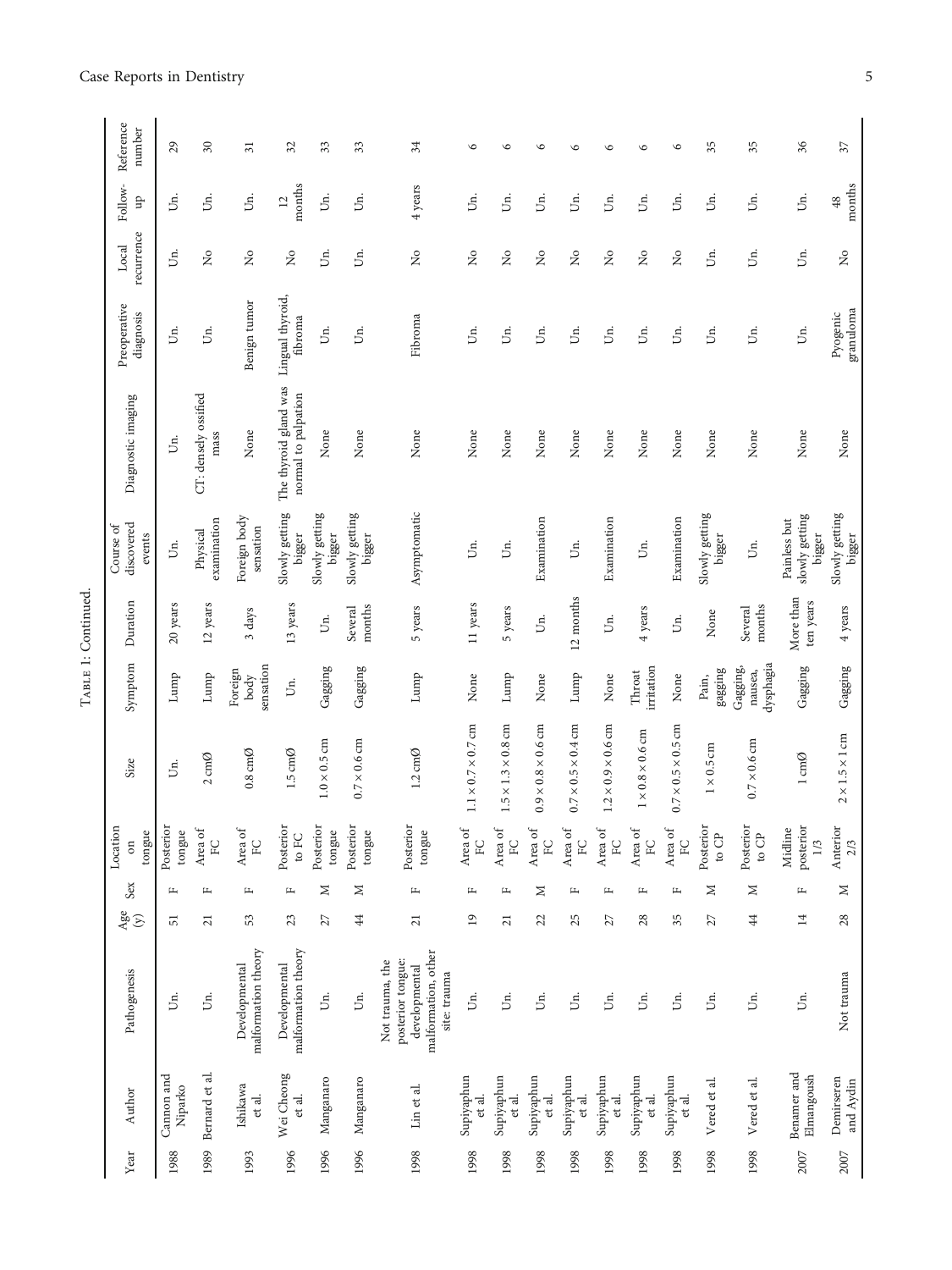|                                                                                                            |  |                 |              | Location                    |                                |                                  |                        | Course of                                |                                              |                             |                                |                          |                            |
|------------------------------------------------------------------------------------------------------------|--|-----------------|--------------|-----------------------------|--------------------------------|----------------------------------|------------------------|------------------------------------------|----------------------------------------------|-----------------------------|--------------------------------|--------------------------|----------------------------|
| Pathogenesis<br>Author                                                                                     |  | $\frac{4}{y}$   | Sex          | tongue<br>$\sin$            | Size                           | Symptom                          | Duration               | discovered<br>events                     | Diagnostic imaging                           | Preoperative<br>diagnosis   | recurrence<br>Local            | Follow-<br>Ъ             | Reference<br>number        |
| Uп.<br>Cannon and<br>Niparko                                                                               |  | 51              | щ            | Posterior<br>tongue         | Un.                            | Lump                             | 20 years               | Un.                                      | Uп.                                          | Un.                         | Б.                             | jя.                      | 29                         |
| Un.<br>Bernard et al.                                                                                      |  | $\overline{21}$ | $\mathbf{r}$ | Area of<br>FC               | $2 \text{ cm}$ $\varnothing$   | Lump                             | 12 years               | examination<br>Physical                  | CT: densely ossified<br>mass                 | jя.                         | $\tilde{z}$                    | Un.                      | $\boldsymbol{\mathcal{S}}$ |
| malformation theory<br>Developmental<br>Ishikawa<br>et al.                                                 |  | 53              | $\mathbf{L}$ | Area of<br>EC               | $0.8 \text{ cm}$               | sensation<br>Foreign<br>body     | 3 days                 | Foreign body<br>sensation                | None                                         | Benign tumor                | $\tilde{z}$                    | Un.                      | $\overline{31}$            |
| malformation theory<br>Developmental<br>Wei Cheong<br>et al.                                               |  | 23              | $\mathbf{L}$ | Posterior<br>to $FC$        | $1.5 \text{ cm}$ $\varnothing$ | Б.                               | 13 years               | Slowly getting<br>bigger                 | The thyroid gland was<br>normal to palpation | Lingual thyroid,<br>fibroma | $\tilde{z}$                    | months<br>$\overline{c}$ | 32                         |
| jя.<br>Manganaro                                                                                           |  | 27              | Σ            | Posterior<br>tongue         | $1.0 \times 0.5$ cm            | Gagging                          | Un.                    | Slowly getting<br>bigger                 | None                                         | Ś.                          | jя.                            | Ś.                       | 33                         |
| jя.<br>Manganaro                                                                                           |  | $\frac{4}{4}$   | Z            | Posterior<br>tongue         | $0.7 \times 0.6$ cm            | Gagging                          | months<br>Several      | Slowly getting<br>bigger                 | None                                         | jя.                         | Б.                             | jя.                      | 33                         |
| malformation, other<br>posterior tongue:<br>Not trauma, the<br>developmental<br>site: trauma<br>Lin et al. |  | $\overline{21}$ | $\mathbb{L}$ | Posterior<br>tongue         | $1.2 \text{ cm}$ Ø             | Lump                             | 5 years                | Asymptomatic                             | None                                         | Fibroma                     | $\stackrel{\circ}{\mathbf{Z}}$ | 4 years                  | 34                         |
| "<br>Supiyaphun<br>et al.                                                                                  |  | $\overline{19}$ | $\mathbf{L}$ | Area of<br>E                | $1.1 \times 0.7 \times 0.7$ cm | None                             | 11 years               | Un.                                      | None                                         | Uп.                         | $\tilde{z}$                    | jя.                      | $\circ$                    |
| Uп.<br>Supiyaphun<br>et al.                                                                                |  | $\overline{21}$ | $\mathbf{r}$ | Area of<br>EC               | $1.5 \times 1.3 \times 0.8$ cm | Lump                             | 5 years                | Uп.                                      | None                                         | Un.                         | $\frac{1}{2}$                  | Un.                      | $\circ$                    |
| Un.<br>Supiyaphun<br>et al.                                                                                |  | 22              | z            | Area of<br>EC               | $0.9 \times 0.8 \times 0.6$ cm | None                             | Un.                    | Examination                              | None                                         | Ś.                          | $\tilde{z}$                    | jя.                      | $\circ$                    |
| IJп.<br>Supiyaphun<br>et al.                                                                               |  | 25              | щ            | Area of<br>EC               | $0.7 \times 0.5 \times 0.4$ cm | Lump                             | 12 months              | Uп.                                      | None                                         | Ś.                          | ż                              | Un.                      | $\circ$                    |
| Uп.<br>Supiyaphun<br>et al.                                                                                |  | 27              | щ            | Area of<br>FC               | $1.2 \times 0.9 \times 0.6$ cm | None                             | Un.                    | Examination                              | None                                         | Un.                         | $\tilde{z}$                    | Úп.                      | $\circ$                    |
| Un.<br>Supiyaphun<br>et al.                                                                                |  | 28              | $\mathbf{L}$ | Area of<br>FC               | $1 \times 0.8 \times 0.6$ cm   | irritation<br>Throat             | 4 years                | Un.                                      | None                                         | Un.                         | $\frac{1}{2}$                  | Úп.                      | $\circ$                    |
| IJп.<br>Supiyaphun<br>et al.                                                                               |  | 35              | щ            | Area of<br>EC               | $0.7 \times 0.5 \times 0.5$ cm | None                             | Un.                    | Examination                              | None                                         | Б.                          | $\tilde{z}$                    | Un.                      | $\circ$                    |
| Un.<br>Vered et al.                                                                                        |  | 27              | Z            | Posterior<br>to ${\rm CP}$  | $1 \times 0.5$ cm              | gagging<br>Pain,                 | None                   | Slowly getting<br>bigger                 | None                                         | Un.                         | Un.                            | Un.                      | 35                         |
| jя.<br>Vered et al.                                                                                        |  | $\overline{44}$ | $\geq$       | Posterior<br>to $CP$        | $0.7\times0.6\,\mathrm{cm}$    | dysphagia<br>Gagging,<br>nausea, | months<br>Several      | Un.                                      | None                                         | Ś.                          | Б.                             | Un.                      | 35                         |
| jя.<br>Benamer and<br>Elmangoush                                                                           |  | 14              | щ            | posterior<br>Midline<br>1/3 | $1\,\mathrm{cm}\mathcal{O}$    | Gagging                          | More than<br>ten years | slowly getting<br>Painless but<br>bigger | None                                         | jп.                         | jп.                            | Un.                      | 36                         |
| Not trauma<br>Demirseren<br>and Aydin                                                                      |  | 28              | Z            | Anterior<br>2/3             | $2 \times 1.5 \times 1$ cm     | Gagging                          | 4 years                | Slowly getting<br>bigger                 | None                                         | granuloma<br>Pyogenic       | ž                              | months<br>48             | $\overline{37}$            |
|                                                                                                            |  |                 |              |                             |                                |                                  |                        |                                          |                                              |                             |                                |                          |                            |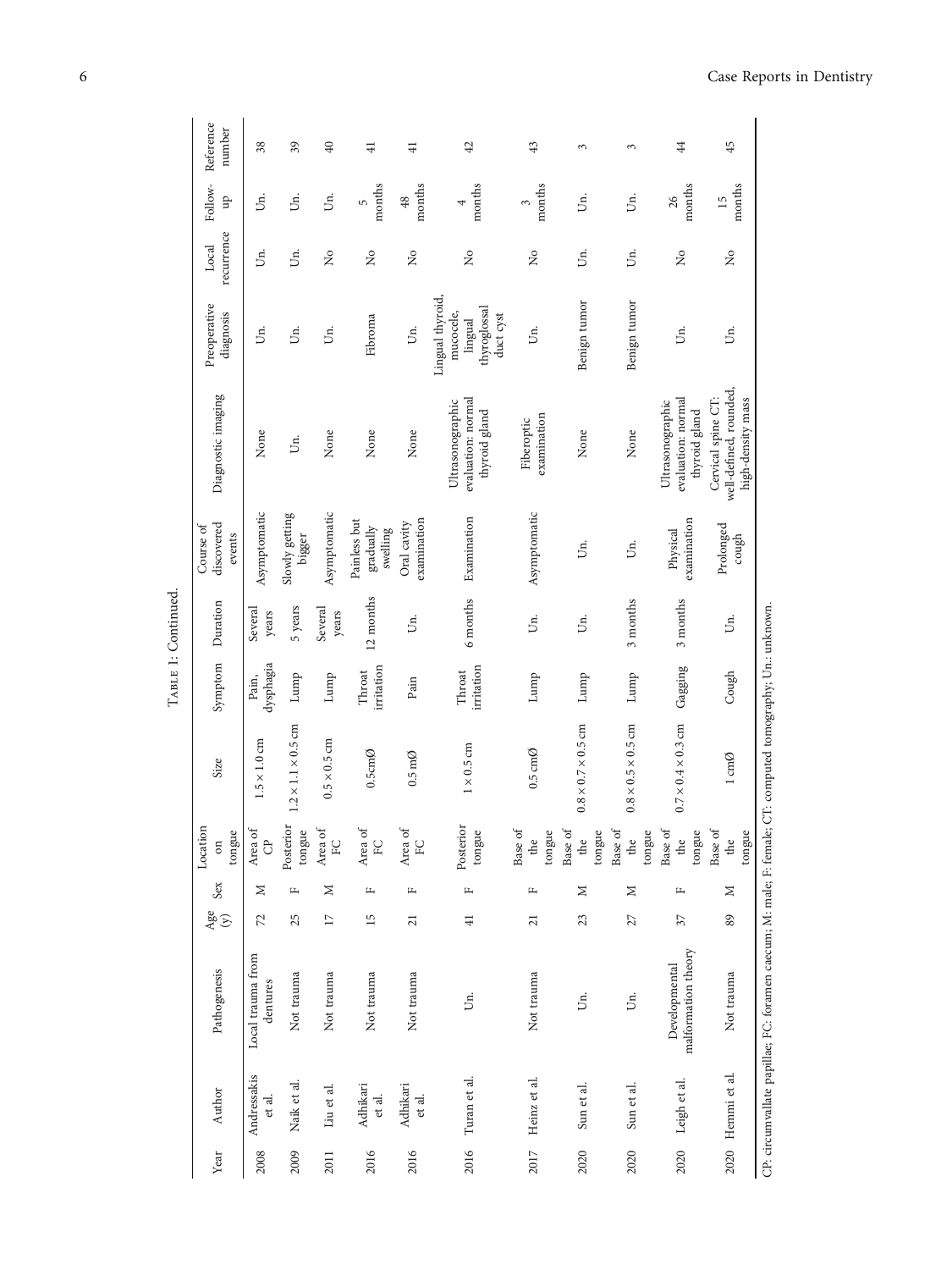| Year | Author                | Pathogenesis                                                                                               | Age<br>$\odot$  | Sex          | Location<br>tongue<br>$\sin$ | Size                           | Symptom              | Duration         | discovered<br>Course of<br>events     | Diagnostic imaging                                                | Preoperative<br>diagnosis                                             | recurrence<br>Local | Follow-<br>ЪĀ | Reference<br>number |
|------|-----------------------|------------------------------------------------------------------------------------------------------------|-----------------|--------------|------------------------------|--------------------------------|----------------------|------------------|---------------------------------------|-------------------------------------------------------------------|-----------------------------------------------------------------------|---------------------|---------------|---------------------|
| 2008 | Andressakis<br>et al. | Local trauma from<br>dentures                                                                              | 72              | Σ            | Area of<br>$\ddot{\sigma}$   | $1.5 \times 1.0$ cm            | dysphagia<br>Pain,   | Several<br>years | Asymptomatic                          | None                                                              | jя.                                                                   | Un.                 | jг.           | 38                  |
| 2009 | Naik et al.           | Not trauma                                                                                                 | 25              | щ            | Posterior<br>tongue          | $1.2 \times 1.1 \times 0.5$ cm | Lump                 | 5 years          | Slowly getting<br>bigger              | Un.                                                               | jя.                                                                   | jя.                 | Uп.           | 39                  |
| 2011 | Liu et al.            | Not trauma                                                                                                 | $\overline{17}$ | Σ            | Area of<br>EC                | $0.5 \times 0.5$ cm            | Lump                 | Several<br>years | Asymptomatic                          | None                                                              | Jг.                                                                   | $\tilde{z}$         | Un.           | $\overline{40}$     |
| 2016 | Adhikari<br>et al.    | Not trauma                                                                                                 | 15              | $\mathbf{L}$ | Area of<br>EC                | $0.5cm$ Ø                      | irritation<br>Throat | 12 months        | Painless but<br>gradually<br>swelling | None                                                              | Fibroma                                                               | $\tilde{z}$         | months<br>S   | $\overline{+}$      |
| 2016 | Adhikari<br>et al.    | Not trauma                                                                                                 | $\overline{21}$ | щ            | Area of<br>$\rm ^{FC}$       | $0.5 \text{ m}\Omega$          | Pain                 | Uп.              | examination<br>Oral cavity            | None                                                              | Un.                                                                   | $\tilde{z}$         | months<br>48  | $\overline{4}$      |
| 2016 | Turan et al.          | Ś.                                                                                                         | $\frac{1}{4}$   | щ            | Posterior<br>tongue          | $1 \times 0.5$ cm              | irritation<br>Throat | 6 months         | Examination                           | evaluation: normal<br>Ultrasonographic<br>thyroid gland           | Lingual thyroid,<br>thyroglossal<br>mucocele,<br>duct cyst<br>lingual | $\tilde{z}$         | months<br>4   | 42                  |
| 2017 | Heinz et al.          | Not trauma                                                                                                 | $\overline{21}$ | щ            | Base of<br>tongue<br>the     | $0.5 \text{ cm}$ Ø             | Lump                 | Úп.              | Asymptomatic                          | examination<br>Fiberoptic                                         | jя.                                                                   | $\tilde{z}$         | months<br>3   | 43                  |
| 2020 | Sun et al.            | Ś.                                                                                                         | 23              | Σ            | Base of<br>tongue<br>the     | $0.8 \times 0.7 \times 0.5$ cm | Lump                 | jя.              | Ś.                                    | None                                                              | Benign tumor                                                          | Un.                 | Ś.            | 3                   |
| 2020 | Sun et al.            | jя.                                                                                                        | 27              | $\geq$       | Base of<br>tongue<br>the     | $0.8\times0.5\times0.5$ cm     | Lump                 | 3 months         | jя.                                   | None                                                              | Benign tumor                                                          | Uп.                 | Б.            | 3                   |
| 2020 | Leigh et al.          | malformation theory<br>Developmental                                                                       | 37              | щ            | Base of<br>tongue<br>the     | $0.7 \times 0.4 \times 0.3$ cm | Gagging              | 3 months         | examination<br>Physical               | evaluation: normal<br>Ultrasonographic<br>thyroid gland           | Ś.                                                                    | $\tilde{z}$         | months<br>26  | $\ddot{4}$          |
|      | 2020 Hemmi et al.     | Not trauma                                                                                                 | 89              | Σ            | Base of<br>tongue<br>the     | $1 \text{ cm}\emptyset$        | Cough                | Un.              | Prolonged<br>cough                    | well-defined, rounded,<br>Cervical spine CT:<br>high-density mass | jя.                                                                   | $\tilde{z}$         | months<br>15  | 45                  |
|      |                       | CP: circumvallate papillae; FC: foramen caecum; M: male; F: female; CT: computed tomography; Un.: unknown. |                 |              |                              |                                |                      |                  |                                       |                                                                   |                                                                       |                     |               |                     |

TABLE 1: Continued. TABLE 1: Continued.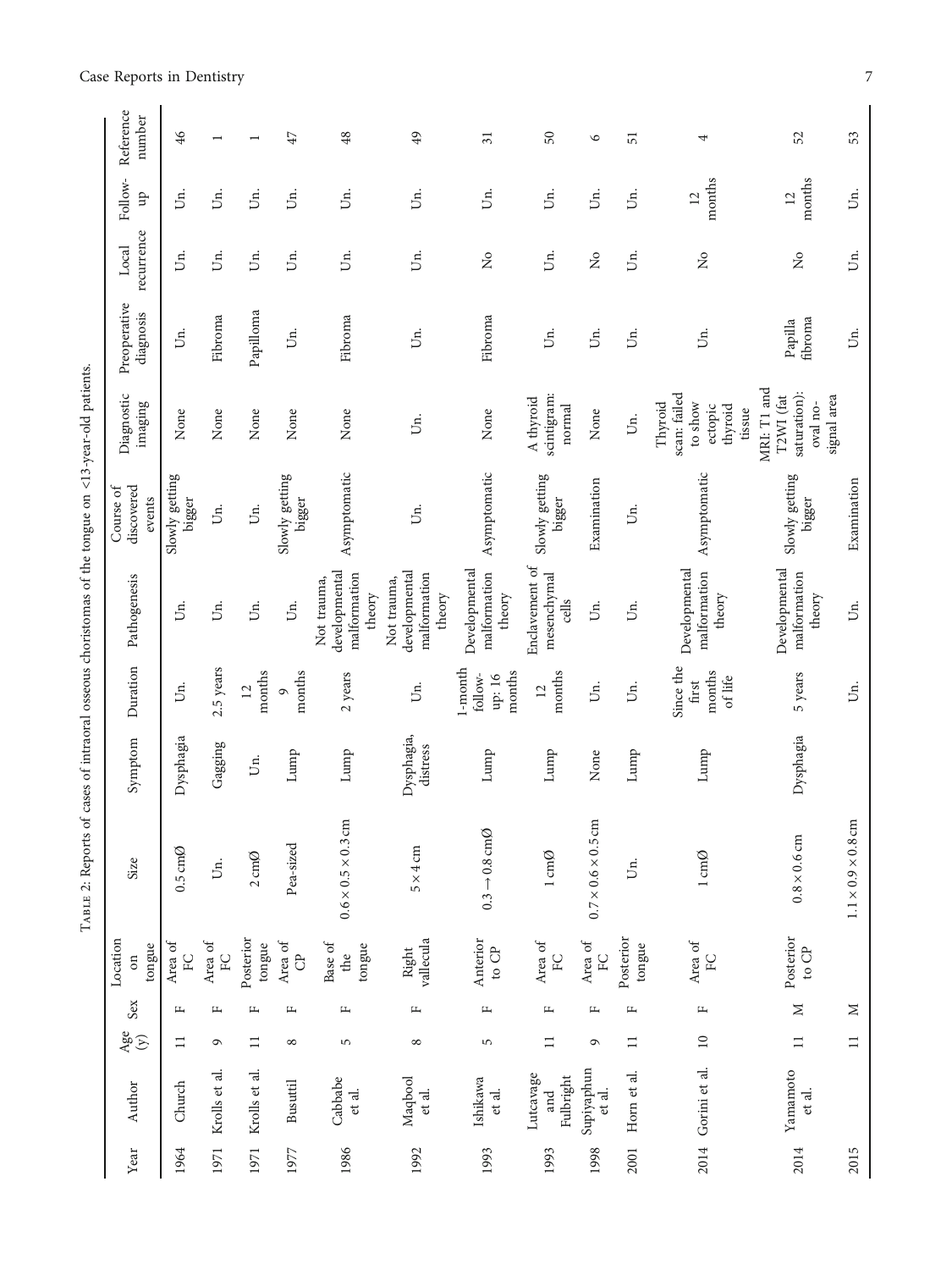|                                                                                                    | Local                                                                                                                                                                                                                                                                                                     |
|----------------------------------------------------------------------------------------------------|-----------------------------------------------------------------------------------------------------------------------------------------------------------------------------------------------------------------------------------------------------------------------------------------------------------|
|                                                                                                    | Preoperative                                                                                                                                                                                                                                                                                              |
| TABLE 2: Reports of cases of intraoral osseous choristomas of the tongue on <13-year-old patients. | Diagnostic 1                                                                                                                                                                                                                                                                                              |
|                                                                                                    | $\overline{a}$<br>ourse o                                                                                                                                                                                                                                                                                 |
|                                                                                                    |                                                                                                                                                                                                                                                                                                           |
|                                                                                                    | . $\frac{1}{2}$ . $\frac{1}{2}$ . $\frac{1}{2}$ . $\frac{1}{2}$ . $\frac{1}{2}$ . $\frac{1}{2}$ . $\frac{1}{2}$ . $\frac{1}{2}$ . $\frac{1}{2}$ . $\frac{1}{2}$ . $\frac{1}{2}$ . $\frac{1}{2}$ . $\frac{1}{2}$ . $\frac{1}{2}$ . $\frac{1}{2}$ . $\frac{1}{2}$ . $\frac{1}{2}$ . $\frac{1}{2}$ . $\frac$ |
|                                                                                                    |                                                                                                                                                                                                                                                                                                           |
|                                                                                                    | i                                                                                                                                                                                                                                                                                                         |
|                                                                                                    |                                                                                                                                                                                                                                                                                                           |

| Reference<br>number               | 46                             |               |                           | $47\,$                   | 48                                                     | 49                                                     | $\overline{\mathcal{E}}$                    | 50                                     | $\circ$                        | 51                  | 4                                                                  | 52                                                                  | 53                         |
|-----------------------------------|--------------------------------|---------------|---------------------------|--------------------------|--------------------------------------------------------|--------------------------------------------------------|---------------------------------------------|----------------------------------------|--------------------------------|---------------------|--------------------------------------------------------------------|---------------------------------------------------------------------|----------------------------|
| Follow-<br>qn                     | Un.                            | jя.           | Б.                        | Jn.                      | jд.                                                    | Úг.                                                    | Un.                                         | Un.                                    | Ś.                             | jя.                 | months<br>12                                                       | months<br>12                                                        | jп.                        |
| recurrence<br>Local               | Un.                            | Un.           | Un.                       | Un.                      | jд.                                                    | Un.                                                    | $\mathsf{S}^{\mathsf{o}}$                   | jд.                                    | $\tilde{z}$                    | Ūп.                 | $\frac{1}{2}$                                                      | $\frac{1}{2}$                                                       | Uп.                        |
| Preoperative<br>diagnosis         | Un.                            | Fibroma       | Papilloma                 | jя.                      | Fibroma                                                | Б.                                                     | Fibroma                                     | IJп.                                   | Ś.                             | jя.                 | Б.                                                                 | fibroma<br>Papilla                                                  | $\ddot{5}$                 |
| Diagnostic<br>imaging             | None                           | None          | None                      | None                     | None                                                   | Б.                                                     | None                                        | scintigram:<br>A thyroid<br>normal     | None                           | Un.                 | scan: failed<br>to show<br>Thyroid<br>ectopic<br>thyroid<br>tissue | MRI: T1 and<br>saturation):<br>signal area<br>T2WI (fat<br>oval no- |                            |
| discovered<br>Course of<br>events | Slowly getting<br>bigger       | Un.           | Un.                       | Slowly getting<br>bigger | Asymptomatic                                           | Ūп.                                                    | Asymptomatic                                | Slowly getting<br>bigger               | Examination                    | Ūп.                 | Asymptomatic                                                       | Slowly getting<br>bigger                                            | Examination                |
| Pathogenesis                      | Un.                            | Un.           | Un.                       | Uг.                      | developmental<br>malformation<br>Not trauma,<br>theory | developmental<br>malformation<br>Not trauma,<br>theory | Developmental<br>malformation<br>theory     | Enclavement of<br>mesenchymal<br>cells | Ś.                             | jя.                 | Developmental<br>malformation<br>theory                            | Developmental<br>malformation<br>theory                             | jп.                        |
| Duration                          | jя.                            | 2.5 years     | months<br>$\overline{12}$ | months<br>$\circ$        | 2 years                                                | Uп.                                                    | l-month<br>months<br>follow-<br>up: 16 $\,$ | months<br>$\overline{12}$              | jя.                            | jя.                 | Since the<br>months<br>of life<br>first                            | 5 years                                                             | Úп.                        |
| Symptom                           | Dysphagia                      | Gagging       | Jп.                       | Lump                     | Lump                                                   | Dysphagia,<br>distress                                 | Lump                                        | Lump                                   | None                           | Lump                | Lump                                                               | Dysphagia                                                           |                            |
| Size                              | $0.5 \text{ cm}$ $\varnothing$ | Un.           | $2 \text{ cm} \emptyset$  | Pea-sized                | $0.6 \times 0.5 \times 0.3$ cm                         | $5 \times 4 \, \text{cm}$                              | $0.3 \rightarrow 0.8 \text{ cm}$ Ø          | $1 \text{ cm}\emptyset$                | $0.7 \times 0.6 \times 0.5$ cm | Ūп.                 | $1 \text{ cm}\emptyset$                                            | $0.8\times0.6$ cm                                                   | $1.1\times0.9\times0.8$ cm |
| Location<br>tongue<br>$\sin$      | Area of<br>$\rm _{FC}$         | Area of<br>FC | Posterior<br>tongue       | Area of<br>$\mathcal{C}$ | Base of<br>tongue<br>the                               | Right<br>vallecula                                     | Anterior<br>to ${\rm CP}$                   | Area of<br>E                           | Area of<br>E                   | Posterior<br>tongue | Area of<br>$\rm{F}$                                                | Posterior<br>to $\mathbb{CP}$                                       |                            |
| Sex                               | 円                              | щ             | $\mathbf{L}$              | щ                        | Щ                                                      | $\mathbf{L}$                                           | Щ                                           | щ                                      | $\mathbf{L}$                   | щ                   | $\mathbb{L}$                                                       | $\geq$                                                              | $\geq$                     |
| $\frac{\text{Age}}{y}$            | $\Box$                         | G             | $\Xi$                     | $\infty$                 | 5                                                      | $\infty$                                               | S                                           | $\Box$                                 | G                              | $\equiv$            | $\overline{10}$                                                    | $\Box$                                                              | $\Box$                     |
| Author                            | Church                         | Krolls et al. | Krolls et al.             | <b>Busuttil</b>          | Cabbabe<br>et al.                                      | Maqbool<br>et al.                                      | Ishikawa<br>et al.                          | Lutcavage<br>Fulbright<br>and          | Supiyaphun<br>et al.           | Horn et al.         | 2014 Gorini et al.                                                 | Yamamoto<br>et al.                                                  |                            |
| Year                              | 1964                           | 1971          | 1971                      | 1977                     | 1986                                                   | 1992                                                   | 1993                                        | 1993                                   | 1998                           | 2001                |                                                                    | 2014                                                                | 2015                       |

## <span id="page-6-0"></span>Case Reports in Dentistry 7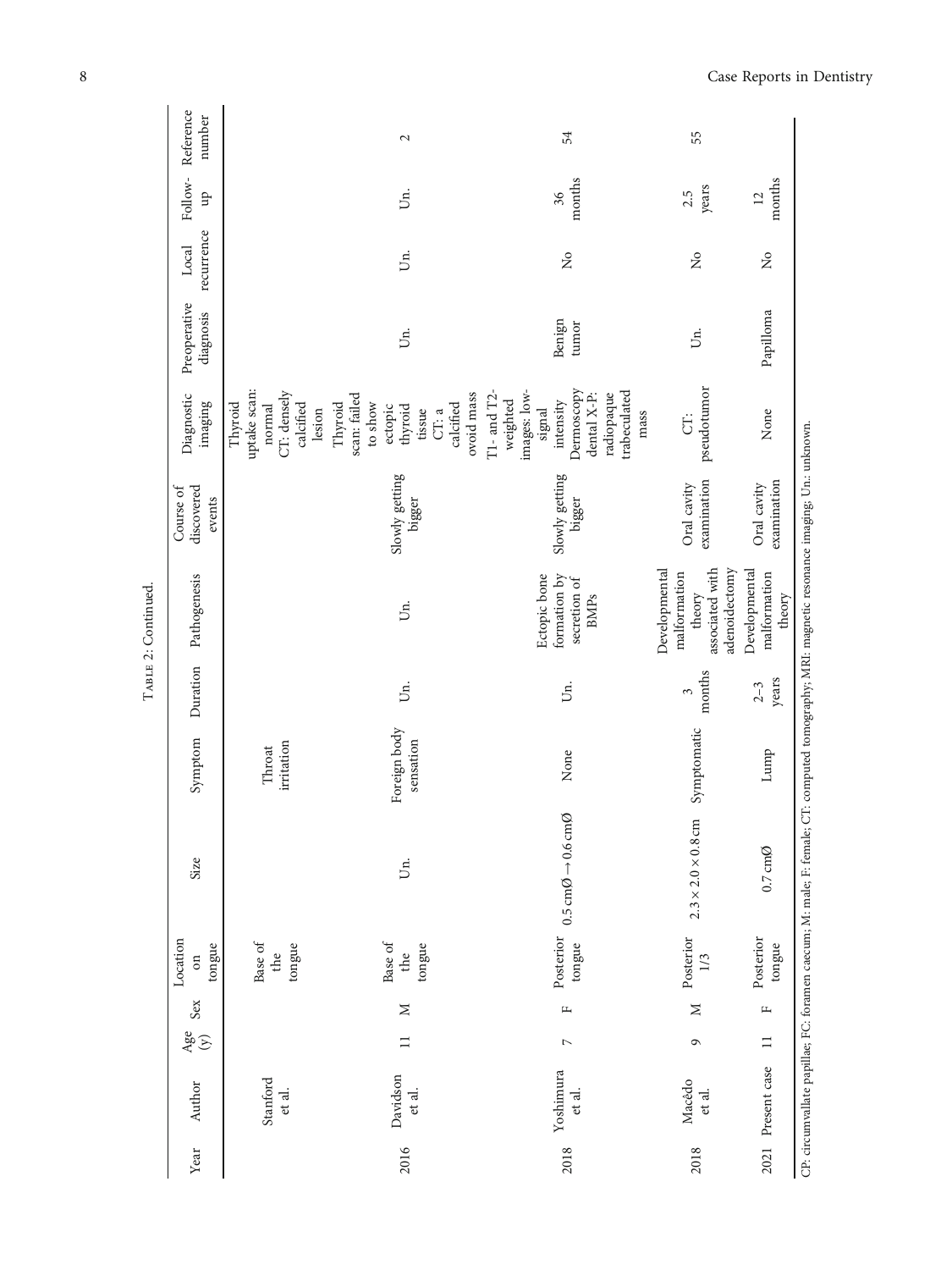|                     |                   |              | Location                 |                                                               |                           |                         |                                                                             | Course of                  |                                                                                                                                         |                           |                     |               |                     |
|---------------------|-------------------|--------------|--------------------------|---------------------------------------------------------------|---------------------------|-------------------------|-----------------------------------------------------------------------------|----------------------------|-----------------------------------------------------------------------------------------------------------------------------------------|---------------------------|---------------------|---------------|---------------------|
| Author              | Age<br>$\bigcirc$ | Sex          | tongue<br>$\sin$         | Size                                                          | Symptom                   | Duration                | Pathogenesis                                                                | discovered<br>events       | Diagnostic<br>imaging                                                                                                                   | Preoperative<br>diagnosis | recurrence<br>Local | Follow-<br>qn | Reference<br>number |
| Stanford<br>et al.  |                   |              | Base of<br>tongue<br>the |                                                               | irritation<br>Throat      |                         |                                                                             |                            | uptake scan:<br>CT: densely<br>Thyroid<br>calcified<br>normal<br>lesion                                                                 |                           |                     |               |                     |
| Davidson<br>et al.  | $\Box$            | $\geq$       | Base of<br>tongue<br>the | IJп.                                                          | Foreign body<br>sensation | Бi.                     | Б.                                                                          | Slowly getting<br>bigger   | ovoid mass<br>scan: failed<br>Thyroid<br>to show<br>calcified<br>ectopic<br>thyroid<br>tissue<br>CT: a                                  | jд.                       | Un.                 | Б.            | 2                   |
| Yoshimura<br>et al. | $\triangleright$  | $\mathbf{L}$ | Posterior<br>tongue      | $0.5 \text{ cm}\emptyset \rightarrow 0.6 \text{ cm}\emptyset$ | None                      | Б.                      | formation by<br>Ectopic bone<br>secretion of<br><b>BMPs</b>                 | Slowly getting<br>bigger   | $T1$ - and $T2$ -<br>Dermoscopy<br>images: low-<br>trabeculated<br>radiopaque<br>dental X-P:<br>weighted<br>intensity<br>signal<br>mass | Benign<br>tumor           | $\tilde{z}$         | months<br>36  | 54                  |
| Macêdo<br>et al.    | $\mathbf{\Omega}$ | $\geq$       | Posterior<br>1/3         | $2.3 \times 2.0 \times 0.8$ cm                                | Symptomatic               | months<br>$\tilde{\xi}$ | associated with<br>adenoidectomy<br>Developmental<br>malformation<br>theory | examination<br>Oral cavity | pseudotumor<br>U.                                                                                                                       | Б.                        | $\tilde{z}$         | years<br>2.5  | 55                  |
| Present case        | $\Box$            | щ            | Posterior<br>tongue      | $0.7 \text{ cm}$ Ø                                            | Lump                      | years<br>$2 - 3$        | Developmental<br>malformation<br>theory                                     | examination<br>Oral cavity | None                                                                                                                                    | Papilloma                 | $\frac{1}{2}$       | months<br>12  |                     |

TABLE 2: Continued. TABLE 2: Continued.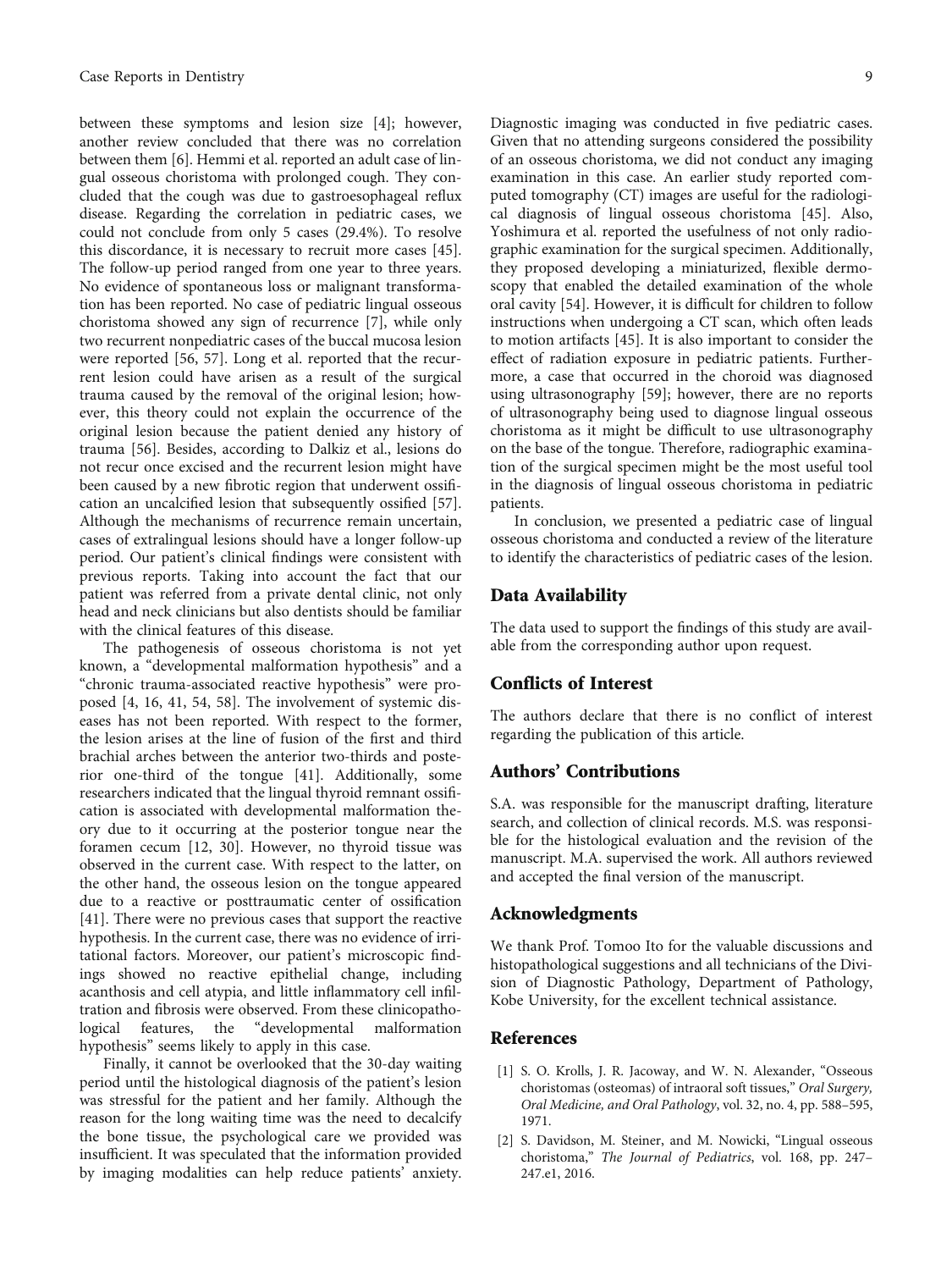<span id="page-8-0"></span>between these symptoms and lesion size [\[4](#page-9-0)]; however, another review concluded that there was no correlation between them [\[6](#page-9-0)]. Hemmi et al. reported an adult case of lingual osseous choristoma with prolonged cough. They concluded that the cough was due to gastroesophageal reflux disease. Regarding the correlation in pediatric cases, we could not conclude from only 5 cases (29.4%). To resolve this discordance, it is necessary to recruit more cases [[45](#page-10-0)]. The follow-up period ranged from one year to three years. No evidence of spontaneous loss or malignant transformation has been reported. No case of pediatric lingual osseous choristoma showed any sign of recurrence [[7](#page-9-0)], while only two recurrent nonpediatric cases of the buccal mucosa lesion were reported [\[56, 57\]](#page-10-0). Long et al. reported that the recurrent lesion could have arisen as a result of the surgical trauma caused by the removal of the original lesion; however, this theory could not explain the occurrence of the original lesion because the patient denied any history of trauma [[56\]](#page-10-0). Besides, according to Dalkiz et al., lesions do not recur once excised and the recurrent lesion might have been caused by a new fibrotic region that underwent ossification an uncalcified lesion that subsequently ossified [[57](#page-10-0)]. Although the mechanisms of recurrence remain uncertain, cases of extralingual lesions should have a longer follow-up period. Our patient's clinical findings were consistent with previous reports. Taking into account the fact that our patient was referred from a private dental clinic, not only head and neck clinicians but also dentists should be familiar with the clinical features of this disease.

The pathogenesis of osseous choristoma is not yet known, a "developmental malformation hypothesis" and a "chronic trauma-associated reactive hypothesis" were proposed [\[4, 16](#page-9-0), [41](#page-9-0), [54, 58\]](#page-10-0). The involvement of systemic diseases has not been reported. With respect to the former, the lesion arises at the line of fusion of the first and third brachial arches between the anterior two-thirds and posterior one-third of the tongue [[41](#page-9-0)]. Additionally, some researchers indicated that the lingual thyroid remnant ossification is associated with developmental malformation theory due to it occurring at the posterior tongue near the foramen cecum [[12, 30\]](#page-9-0). However, no thyroid tissue was observed in the current case. With respect to the latter, on the other hand, the osseous lesion on the tongue appeared due to a reactive or posttraumatic center of ossification [\[41](#page-9-0)]. There were no previous cases that support the reactive hypothesis. In the current case, there was no evidence of irritational factors. Moreover, our patient's microscopic findings showed no reactive epithelial change, including acanthosis and cell atypia, and little inflammatory cell infiltration and fibrosis were observed. From these clinicopathological features, the "developmental malformation hypothesis" seems likely to apply in this case.

Finally, it cannot be overlooked that the 30-day waiting period until the histological diagnosis of the patient's lesion was stressful for the patient and her family. Although the reason for the long waiting time was the need to decalcify the bone tissue, the psychological care we provided was insufficient. It was speculated that the information provided by imaging modalities can help reduce patients' anxiety.

Diagnostic imaging was conducted in five pediatric cases. Given that no attending surgeons considered the possibility of an osseous choristoma, we did not conduct any imaging examination in this case. An earlier study reported computed tomography (CT) images are useful for the radiological diagnosis of lingual osseous choristoma [\[45\]](#page-10-0). Also, Yoshimura et al. reported the usefulness of not only radiographic examination for the surgical specimen. Additionally, they proposed developing a miniaturized, flexible dermoscopy that enabled the detailed examination of the whole oral cavity [\[54](#page-10-0)]. However, it is difficult for children to follow instructions when undergoing a CT scan, which often leads to motion artifacts [[45](#page-10-0)]. It is also important to consider the effect of radiation exposure in pediatric patients. Furthermore, a case that occurred in the choroid was diagnosed using ultrasonography [[59](#page-10-0)]; however, there are no reports of ultrasonography being used to diagnose lingual osseous choristoma as it might be difficult to use ultrasonography on the base of the tongue. Therefore, radiographic examination of the surgical specimen might be the most useful tool in the diagnosis of lingual osseous choristoma in pediatric patients.

In conclusion, we presented a pediatric case of lingual osseous choristoma and conducted a review of the literature to identify the characteristics of pediatric cases of the lesion.

### Data Availability

The data used to support the findings of this study are available from the corresponding author upon request.

## Conflicts of Interest

The authors declare that there is no conflict of interest regarding the publication of this article.

## Authors' Contributions

S.A. was responsible for the manuscript drafting, literature search, and collection of clinical records. M.S. was responsible for the histological evaluation and the revision of the manuscript. M.A. supervised the work. All authors reviewed and accepted the final version of the manuscript.

### Acknowledgments

We thank Prof. Tomoo Ito for the valuable discussions and histopathological suggestions and all technicians of the Division of Diagnostic Pathology, Department of Pathology, Kobe University, for the excellent technical assistance.

#### References

- [1] S. O. Krolls, J. R. Jacoway, and W. N. Alexander, "Osseous choristomas (osteomas) of intraoral soft tissues," Oral Surgery, Oral Medicine, and Oral Pathology, vol. 32, no. 4, pp. 588–595, 1971.
- [2] S. Davidson, M. Steiner, and M. Nowicki, "Lingual osseous choristoma," The Journal of Pediatrics, vol. 168, pp. 247– 247.e1, 2016.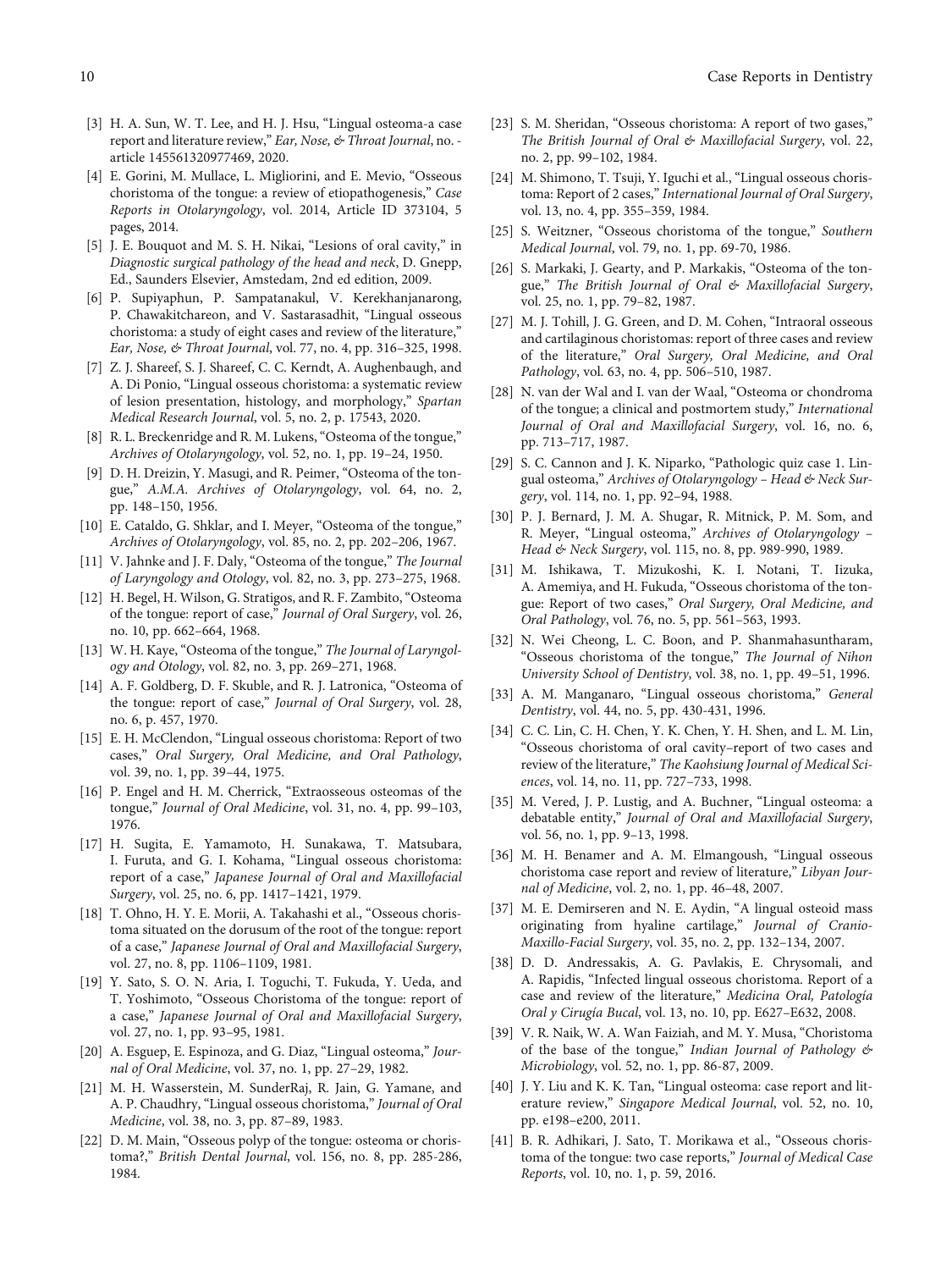- <span id="page-9-0"></span>[3] H. A. Sun, W. T. Lee, and H. J. Hsu, "Lingual osteoma-a case report and literature review," Ear, Nose, & Throat Journal, no. article 145561320977469, 2020.
- [4] E. Gorini, M. Mullace, L. Migliorini, and E. Mevio, "Osseous choristoma of the tongue: a review of etiopathogenesis," Case Reports in Otolaryngology, vol. 2014, Article ID 373104, 5 pages, 2014.
- [5] J. E. Bouquot and M. S. H. Nikai, "Lesions of oral cavity," in Diagnostic surgical pathology of the head and neck, D. Gnepp, Ed., Saunders Elsevier, Amstedam, 2nd ed edition, 2009.
- [6] P. Supiyaphun, P. Sampatanakul, V. Kerekhanjanarong, P. Chawakitchareon, and V. Sastarasadhit, "Lingual osseous choristoma: a study of eight cases and review of the literature," Ear, Nose, & Throat Journal, vol. 77, no. 4, pp. 316–325, 1998.
- [7] Z. J. Shareef, S. J. Shareef, C. C. Kerndt, A. Aughenbaugh, and A. Di Ponio, "Lingual osseous choristoma: a systematic review of lesion presentation, histology, and morphology," Spartan Medical Research Journal, vol. 5, no. 2, p. 17543, 2020.
- [8] R. L. Breckenridge and R. M. Lukens, "Osteoma of the tongue," Archives of Otolaryngology, vol. 52, no. 1, pp. 19–24, 1950.
- [9] D. H. Dreizin, Y. Masugi, and R. Peimer, "Osteoma of the tongue," A.M.A. Archives of Otolaryngology, vol. 64, no. 2, pp. 148–150, 1956.
- [10] E. Cataldo, G. Shklar, and I. Meyer, "Osteoma of the tongue," Archives of Otolaryngology, vol. 85, no. 2, pp. 202–206, 1967.
- [11] V. Jahnke and J. F. Daly, "Osteoma of the tongue," The Journal of Laryngology and Otology, vol. 82, no. 3, pp. 273–275, 1968.
- [12] H. Begel, H. Wilson, G. Stratigos, and R. F. Zambito, "Osteoma of the tongue: report of case," Journal of Oral Surgery, vol. 26, no. 10, pp. 662–664, 1968.
- [13] W. H. Kaye, "Osteoma of the tongue," The Journal of Laryngology and Otology, vol. 82, no. 3, pp. 269–271, 1968.
- [14] A. F. Goldberg, D. F. Skuble, and R. J. Latronica, "Osteoma of the tongue: report of case," Journal of Oral Surgery, vol. 28, no. 6, p. 457, 1970.
- [15] E. H. McClendon, "Lingual osseous choristoma: Report of two cases," Oral Surgery, Oral Medicine, and Oral Pathology, vol. 39, no. 1, pp. 39–44, 1975.
- [16] P. Engel and H. M. Cherrick, "Extraosseous osteomas of the tongue," Journal of Oral Medicine, vol. 31, no. 4, pp. 99–103, 1976.
- [17] H. Sugita, E. Yamamoto, H. Sunakawa, T. Matsubara, I. Furuta, and G. I. Kohama, "Lingual osseous choristoma: report of a case," Japanese Journal of Oral and Maxillofacial Surgery, vol. 25, no. 6, pp. 1417–1421, 1979.
- [18] T. Ohno, H. Y. E. Morii, A. Takahashi et al., "Osseous choristoma situated on the dorusum of the root of the tongue: report of a case," Japanese Journal of Oral and Maxillofacial Surgery, vol. 27, no. 8, pp. 1106–1109, 1981.
- [19] Y. Sato, S. O. N. Aria, I. Toguchi, T. Fukuda, Y. Ueda, and T. Yoshimoto, "Osseous Choristoma of the tongue: report of a case," Japanese Journal of Oral and Maxillofacial Surgery, vol. 27, no. 1, pp. 93–95, 1981.
- [20] A. Esguep, E. Espinoza, and G. Diaz, "Lingual osteoma," Journal of Oral Medicine, vol. 37, no. 1, pp. 27–29, 1982.
- [21] M. H. Wasserstein, M. SunderRaj, R. Jain, G. Yamane, and A. P. Chaudhry, "Lingual osseous choristoma," Journal of Oral Medicine, vol. 38, no. 3, pp. 87–89, 1983.
- [22] D. M. Main, "Osseous polyp of the tongue: osteoma or choristoma?," British Dental Journal, vol. 156, no. 8, pp. 285-286, 1984.
- [23] S. M. Sheridan, "Osseous choristoma: A report of two gases," The British Journal of Oral & Maxillofacial Surgery, vol. 22, no. 2, pp. 99–102, 1984.
- [24] M. Shimono, T. Tsuji, Y. Iguchi et al., "Lingual osseous choristoma: Report of 2 cases," International Journal of Oral Surgery, vol. 13, no. 4, pp. 355–359, 1984.
- [25] S. Weitzner, "Osseous choristoma of the tongue," Southern Medical Journal, vol. 79, no. 1, pp. 69-70, 1986.
- [26] S. Markaki, J. Gearty, and P. Markakis, "Osteoma of the tongue," The British Journal of Oral & Maxillofacial Surgery, vol. 25, no. 1, pp. 79–82, 1987.
- [27] M. J. Tohill, J. G. Green, and D. M. Cohen, "Intraoral osseous and cartilaginous choristomas: report of three cases and review of the literature," Oral Surgery, Oral Medicine, and Oral Pathology, vol. 63, no. 4, pp. 506–510, 1987.
- [28] N. van der Wal and I. van der Waal, "Osteoma or chondroma of the tongue; a clinical and postmortem study," International Journal of Oral and Maxillofacial Surgery, vol. 16, no. 6, pp. 713–717, 1987.
- [29] S. C. Cannon and J. K. Niparko, "Pathologic quiz case 1. Lingual osteoma," Archives of Otolaryngology – Head & Neck Surgery, vol. 114, no. 1, pp. 92–94, 1988.
- [30] P. J. Bernard, J. M. A. Shugar, R. Mitnick, P. M. Som, and R. Meyer, "Lingual osteoma," Archives of Otolaryngology – Head & Neck Surgery, vol. 115, no. 8, pp. 989-990, 1989.
- [31] M. Ishikawa, T. Mizukoshi, K. I. Notani, T. Iizuka, A. Amemiya, and H. Fukuda, "Osseous choristoma of the tongue: Report of two cases," Oral Surgery, Oral Medicine, and Oral Pathology, vol. 76, no. 5, pp. 561–563, 1993.
- [32] N. Wei Cheong, L. C. Boon, and P. Shanmahasuntharam, "Osseous choristoma of the tongue," The Journal of Nihon University School of Dentistry, vol. 38, no. 1, pp. 49–51, 1996.
- [33] A. M. Manganaro, "Lingual osseous choristoma," General Dentistry, vol. 44, no. 5, pp. 430-431, 1996.
- [34] C. C. Lin, C. H. Chen, Y. K. Chen, Y. H. Shen, and L. M. Lin, "Osseous choristoma of oral cavity–report of two cases and review of the literature," The Kaohsiung Journal of Medical Sciences, vol. 14, no. 11, pp. 727–733, 1998.
- [35] M. Vered, J. P. Lustig, and A. Buchner, "Lingual osteoma: a debatable entity," Journal of Oral and Maxillofacial Surgery, vol. 56, no. 1, pp. 9–13, 1998.
- [36] M. H. Benamer and A. M. Elmangoush, "Lingual osseous choristoma case report and review of literature," Libyan Journal of Medicine, vol. 2, no. 1, pp. 46–48, 2007.
- [37] M. E. Demirseren and N. E. Aydin, "A lingual osteoid mass originating from hyaline cartilage," Journal of Cranio-Maxillo-Facial Surgery, vol. 35, no. 2, pp. 132–134, 2007.
- [38] D. D. Andressakis, A. G. Pavlakis, E. Chrysomali, and A. Rapidis, "Infected lingual osseous choristoma. Report of a case and review of the literature," Medicina Oral, Patología Oral y Cirugía Bucal, vol. 13, no. 10, pp. E627–E632, 2008.
- [39] V. R. Naik, W. A. Wan Faiziah, and M. Y. Musa, "Choristoma of the base of the tongue," Indian Journal of Pathology & Microbiology, vol. 52, no. 1, pp. 86-87, 2009.
- [40] J. Y. Liu and K. K. Tan, "Lingual osteoma: case report and literature review," Singapore Medical Journal, vol. 52, no. 10, pp. e198–e200, 2011.
- [41] B. R. Adhikari, J. Sato, T. Morikawa et al., "Osseous choristoma of the tongue: two case reports," Journal of Medical Case Reports, vol. 10, no. 1, p. 59, 2016.